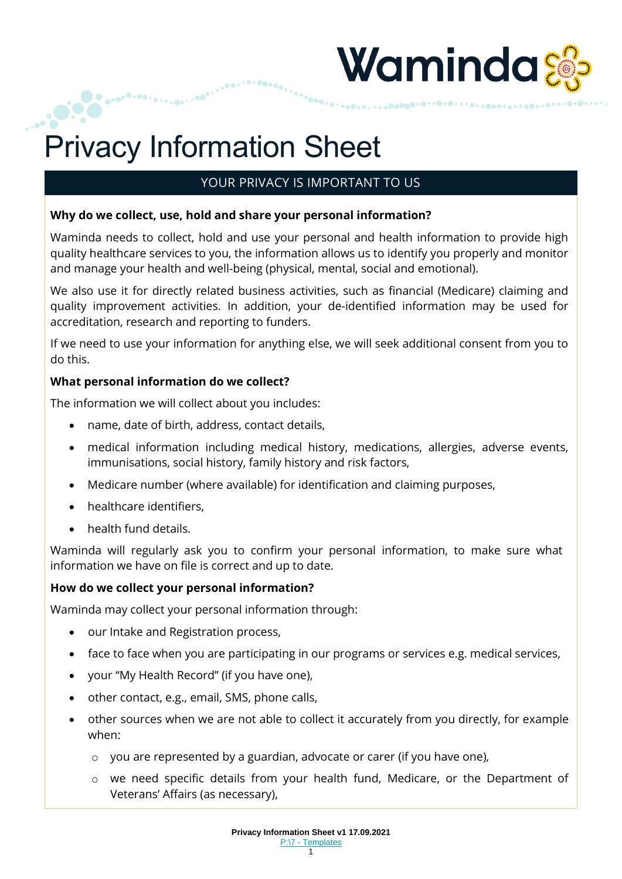

# YOUR PRIVACY IS IMPORTANT TO US

## **Why do we collect, use, hold and share your personal information?**

Waminda needs to collect, hold and use your personal and health information to provide high quality healthcare services to you, the information allows us to identify you properly and monitor and manage your health and well-being (physical, mental, social and emotional).

We also use it for directly related business activities, such as financial (Medicare) claiming and quality improvement activities. In addition, your de-identified information may be used for accreditation, research and reporting to funders.

If we need to use your information for anything else, we will seek additional consent from you to do this.

## **What personal information do we collect?**

The information we will collect about you includes:

- name, date of birth, address, contact details,
- medical information including medical history, medications, allergies, adverse events, immunisations, social history, family history and risk factors,
- Medicare number (where available) for identification and claiming purposes,
- healthcare identifiers,
- health fund details.

Waminda will regularly ask you to confirm your personal information, to make sure what information we have on file is correct and up to date.

#### **How do we collect your personal information?**

Waminda may collect your personal information through:

- our Intake and Registration process,
- face to face when you are participating in our programs or services e.g. medical services,
- your "My Health Record" (if you have one),
- other contact, e.g., email, SMS, phone calls,
- other sources when we are not able to collect it accurately from you directly, for example when:
	- o you are represented by a guardian, advocate or carer (if you have one),
	- o we need specific details from your health fund, Medicare, or the Department of Veterans' Affairs (as necessary),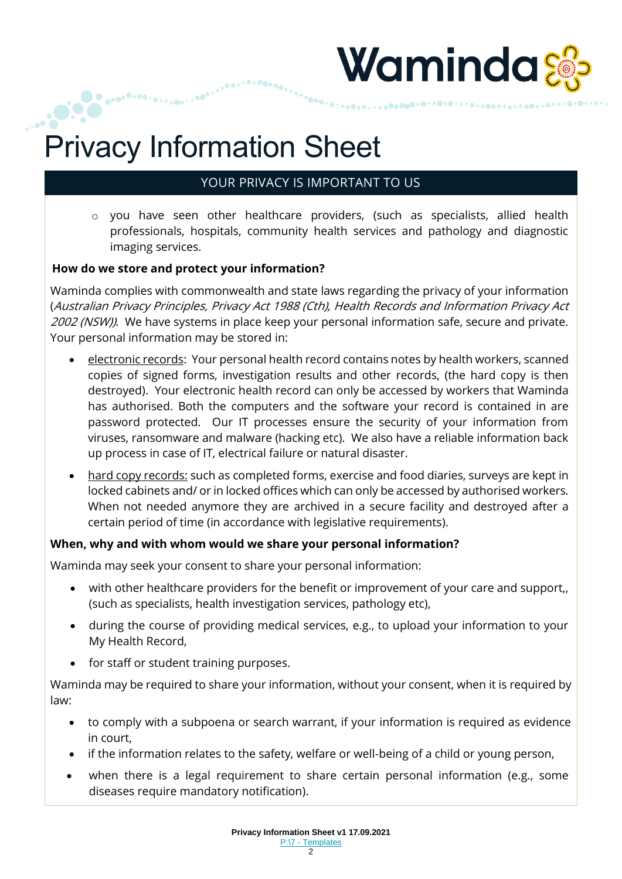

# YOUR PRIVACY IS IMPORTANT TO US

o you have seen other healthcare providers, (such as specialists, allied health professionals, hospitals, community health services and pathology and diagnostic imaging services.

## **How do we store and protect your information?**

Waminda complies with commonwealth and state laws regarding the privacy of your information (Australian Privacy Principles, Privacy Act 1988 (Cth), Health Records and Information Privacy Act 2002 (NSW)). We have systems in place keep your personal information safe, secure and private. Your personal information may be stored in:

- electronic records: Your personal health record contains notes by health workers, scanned copies of signed forms, investigation results and other records, (the hard copy is then destroyed). Your electronic health record can only be accessed by workers that Waminda has authorised. Both the computers and the software your record is contained in are password protected. Our IT processes ensure the security of your information from viruses, ransomware and malware (hacking etc). We also have a reliable information back up process in case of IT, electrical failure or natural disaster.
- hard copy records: such as completed forms, exercise and food diaries, surveys are kept in locked cabinets and/ or in locked offices which can only be accessed by authorised workers. When not needed anymore they are archived in a secure facility and destroyed after a certain period of time (in accordance with legislative requirements).

## **When, why and with whom would we share your personal information?**

Waminda may seek your consent to share your personal information:

- with other healthcare providers for the benefit or improvement of your care and support,, (such as specialists, health investigation services, pathology etc),
- during the course of providing medical services, e.g., to upload your information to your My Health Record,
- for staff or student training purposes.

Waminda may be required to share your information, without your consent, when it is required by law:

- to comply with a subpoena or search warrant, if your information is required as evidence in court,
- if the information relates to the safety, welfare or well-being of a child or young person,
- when there is a legal requirement to share certain personal information (e.g., some diseases require mandatory notification).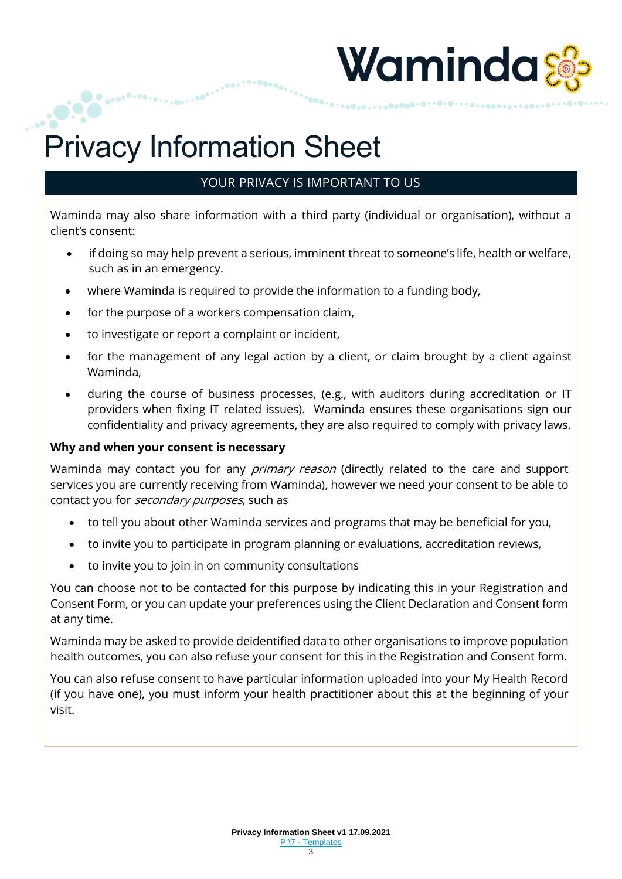

# YOUR PRIVACY IS IMPORTANT TO US

Waminda may also share information with a third party (individual or organisation), without a client's consent:

- if doing so may help prevent a serious, imminent threat to someone's life, health or welfare, such as in an emergency.
- where Waminda is required to provide the information to a funding body,
- for the purpose of a workers compensation claim,
- to investigate or report a complaint or incident,
- for the management of any legal action by a client, or claim brought by a client against Waminda,
- during the course of business processes, (e.g., with auditors during accreditation or IT providers when fixing IT related issues). Waminda ensures these organisations sign our confidentiality and privacy agreements, they are also required to comply with privacy laws.

#### **Why and when your consent is necessary**

Waminda may contact you for any *primary reason* (directly related to the care and support services you are currently receiving from Waminda), however we need your consent to be able to contact you for secondary purposes, such as

- to tell you about other Waminda services and programs that may be beneficial for you,
- to invite you to participate in program planning or evaluations, accreditation reviews,
- to invite you to join in on community consultations

You can choose not to be contacted for this purpose by indicating this in your Registration and Consent Form, or you can update your preferences using the Client Declaration and Consent form at any time.

Waminda may be asked to provide deidentified data to other organisations to improve population health outcomes, you can also refuse your consent for this in the Registration and Consent form.

You can also refuse consent to have particular information uploaded into your My Health Record (if you have one), you must inform your health practitioner about this at the beginning of your visit.